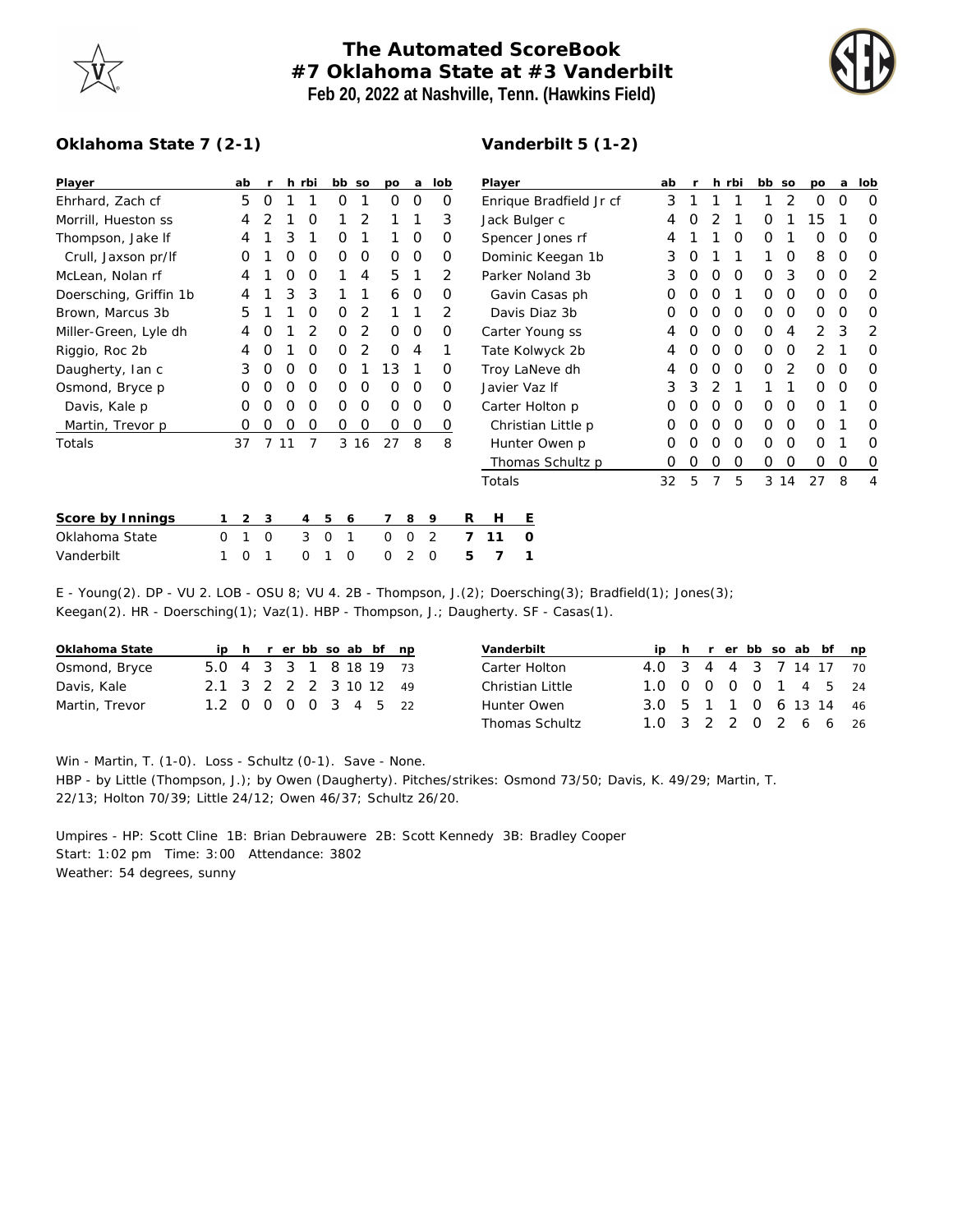

## **The Automated ScoreBook #7 Oklahoma State at #3 Vanderbilt Feb 20, 2022 at Nashville, Tenn. (Hawkins Field)**



## **Oklahoma State 7 (2-1)**

## **Vanderbilt 5 (1-2)**

| Player                 |          | ab       |                |    | h rbi | bb so        |               | po          | a        | lob |          | Player                  |                  |  | ab | r |   | h rbi | bb so    |          | po          | a        | lob |
|------------------------|----------|----------|----------------|----|-------|--------------|---------------|-------------|----------|-----|----------|-------------------------|------------------|--|----|---|---|-------|----------|----------|-------------|----------|-----|
| Ehrhard, Zach cf       |          | 5        | $\Omega$       |    |       | 0            |               | 0           | 0        |     | O        | Enrique Bradfield Jr cf |                  |  |    |   |   |       |          | 2        | O           | $\Omega$ | O   |
| Morrill, Hueston ss    |          | 4        |                |    | O     |              |               |             |          |     | 3        | Jack Bulger c           |                  |  |    |   |   |       |          |          | 15          |          | O   |
| Thompson, Jake If      |          | 4        |                | 3  |       | O            |               |             | 0        |     | O        | Spencer Jones rf        |                  |  |    |   |   | Ο     | $\Omega$ |          | 0           | O        | O   |
| Crull, Jaxson pr/lf    |          | O        |                | Ο  | O     | 0            | $\mathcal{O}$ | 0           | $\circ$  |     | O        | Dominic Keegan 1b       |                  |  |    | O |   |       |          | $\Omega$ | 8           | 0        | O   |
| McLean, Nolan rf       |          | 4        |                | Ο  | O     |              | 4             | 5           | 1        |     | 2        | Parker Noland 3b        |                  |  |    | O | Ο | 0     | $\Omega$ | 3        | $\mathbf 0$ | 0        | 2   |
| Doersching, Griffin 1b |          |          |                | 3  | 3     |              |               | 6           | 0        |     | $\Omega$ | Gavin Casas ph          |                  |  |    | Ο | Ο |       | $\Omega$ | $\Omega$ | 0           | $\Omega$ | O   |
| Brown, Marcus 3b       |          | 5        |                |    |       | Ο            | 2             |             |          |     | 2        | Davis Diaz 3b           |                  |  |    |   | Ο | O     | $\Omega$ | $\Omega$ | 0           | O        | O   |
| Miller-Green, Lyle dh  |          | 4        | O              |    |       | O            | 2             | 0           | 0        |     | 0        | Carter Young ss         |                  |  |    |   | Ο | 0     | $\Omega$ | 4        | 2           | 3        | 2   |
| Riggio, Roc 2b         |          | 4        | O              |    | Ο     | O            | 2             | 0           | 4        |     |          | Tate Kolwyck 2b         |                  |  |    | Ο | Ο | 0     | O        | $\Omega$ | 2           |          | O   |
| Daugherty, Ian c       |          | 3        | 0              | O  | O     | 0            |               | 13          |          |     | O        | Troy LaNeve dh          |                  |  |    | O | Ο | O     | $\Omega$ | 2        | 0           | O        | O   |
| Osmond, Bryce p        |          | Ο        | Ο              | Ο  | O     | $\mathbf{O}$ | 0             | $\Omega$    | 0        |     | $\Omega$ | Javier Vaz If           |                  |  |    | 3 | 2 |       |          |          | 0           | O        | O   |
| Davis, Kale p          |          |          |                |    | Ο     | Ο            | 0             | 0           | $\Omega$ |     | O        | Carter Holton p         |                  |  |    |   | Ο | O     | $\Omega$ | $\Omega$ | O           |          | O   |
| Martin, Trevor p       |          | O        | Ω              | Ο  | 0     | 0            | 0             | 0           | 0        |     | 0        | Christian Little p      |                  |  |    |   | Ο | O     | $\Omega$ | $\Omega$ | 0           |          | O   |
| Totals                 |          | 37       | $\overline{7}$ | 11 | 7     |              | 3 16          | 27          | 8        |     | 8        |                         | Hunter Owen p    |  | 0  | O | Ο | 0     | $\Omega$ | $\Omega$ | 0           |          | O   |
|                        |          |          |                |    |       |              |               |             |          |     |          |                         | Thomas Schultz p |  | 0  | Ο | 0 | 0     | 0        | 0        | 0           | 0        | O   |
|                        |          |          |                |    |       |              |               |             |          |     |          | Totals                  |                  |  | 32 | 5 | 7 | 5     |          | 3 14     | 27          | 8        | 4   |
| Score by Innings       |          | 2        | 3              |    | 4     | 5<br>6       |               | 7           | 8        | 9   |          | R<br>H                  | Ε                |  |    |   |   |       |          |          |             |          |     |
| Oklahoma State         | $\Omega$ |          | O              |    | 3     | $\mathbf 0$  |               | $\mathbf 0$ | 0        | 2   |          | $\overline{7}$<br>11    | O                |  |    |   |   |       |          |          |             |          |     |
| Vanderbilt             |          | $\Omega$ |                |    | 0     | $\Omega$     |               | 0           | 2        | 0   |          | 5<br>7                  |                  |  |    |   |   |       |          |          |             |          |     |

E - Young(2). DP - VU 2. LOB - OSU 8; VU 4. 2B - Thompson, J.(2); Doersching(3); Bradfield(1); Jones(3); Keegan(2). HR - Doersching(1); Vaz(1). HBP - Thompson, J.; Daugherty. SF - Casas(1).

| Oklahoma State |                        |  |  |  | ip h r er bb so ab bf np |  |
|----------------|------------------------|--|--|--|--------------------------|--|
| Osmond, Bryce  | 5.0 4 3 3 1 8 18 19 73 |  |  |  |                          |  |
| Davis, Kale    | 2.1 3 2 2 2 3 10 12 49 |  |  |  |                          |  |
| Martin, Trevor | 1.2 0 0 0 0 3 4 5 22   |  |  |  |                          |  |

| Vanderbilt       |                        |  |  |  | ip h r er bb so ab bf np |
|------------------|------------------------|--|--|--|--------------------------|
| Carter Holton    | 4.0 3 4 4 3 7 14 17 70 |  |  |  |                          |
| Christian Little | 1.0 0 0 0 0 1 4 5 24   |  |  |  |                          |
| Hunter Owen      | 3.0 5 1 1 0 6 13 14 46 |  |  |  |                          |
| Thomas Schultz   | 1.0 3 2 2 0 2 6 6 26   |  |  |  |                          |

Win - Martin, T. (1-0). Loss - Schultz (0-1). Save - None.

HBP - by Little (Thompson, J.); by Owen (Daugherty). Pitches/strikes: Osmond 73/50; Davis, K. 49/29; Martin, T. 22/13; Holton 70/39; Little 24/12; Owen 46/37; Schultz 26/20.

Umpires - HP: Scott Cline 1B: Brian Debrauwere 2B: Scott Kennedy 3B: Bradley Cooper Start: 1:02 pm Time: 3:00 Attendance: 3802 Weather: 54 degrees, sunny